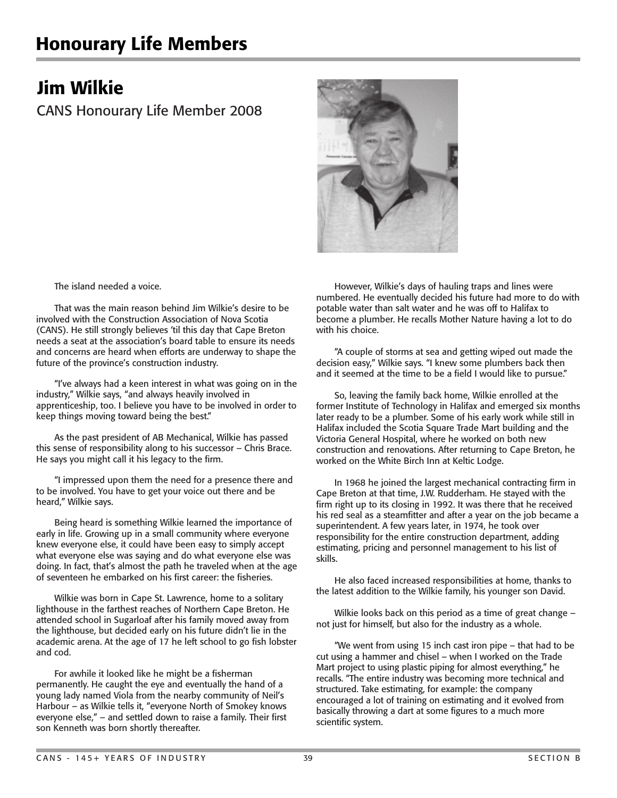## Honourary Life Members

## Jim Wilkie

CANS Honourary Life Member 2008



The island needed a voice.

 That was the main reason behind Jim Wilkie's desire to be involved with the Construction Association of Nova Scotia (CANS). He still strongly believes 'til this day that Cape Breton needs a seat at the association's board table to ensure its needs and concerns are heard when efforts are underway to shape the future of the province's construction industry.

 "I've always had a keen interest in what was going on in the industry," Wilkie says, "and always heavily involved in apprenticeship, too. I believe you have to be involved in order to keep things moving toward being the best."

 As the past president of AB Mechanical, Wilkie has passed this sense of responsibility along to his successor – Chris Brace. He says you might call it his legacy to the firm.

"I impressed upon them the need for a presence there and to be involved. You have to get your voice out there and be heard," Wilkie says.

 Being heard is something Wilkie learned the importance of early in life. Growing up in a small community where everyone knew everyone else, it could have been easy to simply accept what everyone else was saying and do what everyone else was doing. In fact, that's almost the path he traveled when at the age of seventeen he embarked on his first career: the fisheries.

 Wilkie was born in Cape St. Lawrence, home to a solitary lighthouse in the farthest reaches of Northern Cape Breton. He attended school in Sugarloaf after his family moved away from the lighthouse, but decided early on his future didn't lie in the academic arena. At the age of 17 he left school to go fish lobster and cod.

For awhile it looked like he might be a fisherman permanently. He caught the eye and eventually the hand of a young lady named Viola from the nearby community of Neil's Harbour – as Wilkie tells it, "everyone North of Smokey knows everyone else," – and settled down to raise a family. Their first son Kenneth was born shortly thereafter.

 However, Wilkie's days of hauling traps and lines were numbered. He eventually decided his future had more to do with potable water than salt water and he was off to Halifax to become a plumber. He recalls Mother Nature having a lot to do with his choice.

 "A couple of storms at sea and getting wiped out made the decision easy," Wilkie says. "I knew some plumbers back then and it seemed at the time to be a field I would like to pursue."

 So, leaving the family back home, Wilkie enrolled at the former Institute of Technology in Halifax and emerged six months later ready to be a plumber. Some of his early work while still in Halifax included the Scotia Square Trade Mart building and the Victoria General Hospital, where he worked on both new construction and renovations. After returning to Cape Breton, he worked on the White Birch Inn at Keltic Lodge.

 In 1968 he joined the largest mechanical contracting firm in Cape Breton at that time, J.W. Rudderham. He stayed with the firm right up to its closing in 1992. It was there that he received his red seal as a steamfitter and after a year on the job became a superintendent. A few years later, in 1974, he took over responsibility for the entire construction department, adding estimating, pricing and personnel management to his list of skills.

 He also faced increased responsibilities at home, thanks to the latest addition to the Wilkie family, his younger son David.

 Wilkie looks back on this period as a time of great change – not just for himself, but also for the industry as a whole.

"We went from using 15 inch cast iron pipe – that had to be cut using a hammer and chisel – when I worked on the Trade Mart project to using plastic piping for almost everything," he recalls. "The entire industry was becoming more technical and structured. Take estimating, for example: the company encouraged a lot of training on estimating and it evolved from basically throwing a dart at some figures to a much more scientific system.